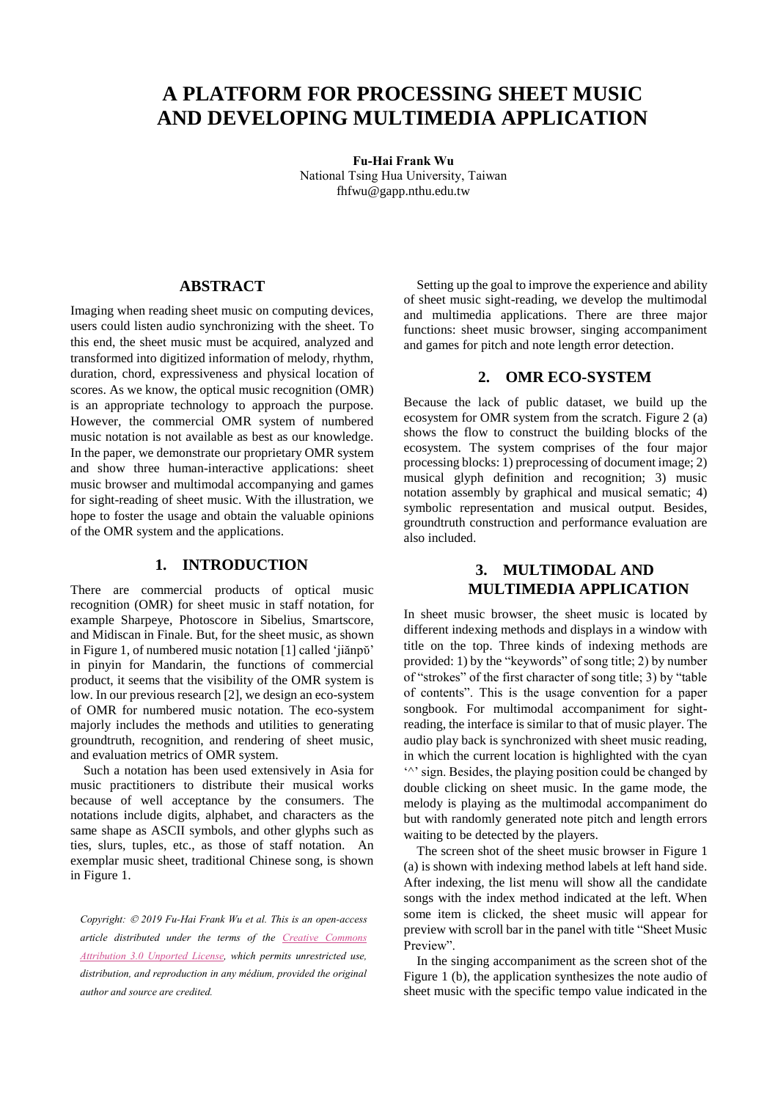# **A PLATFORM FOR PROCESSING SHEET MUSIC AND DEVELOPING MULTIMEDIA APPLICATION**

**Fu-Hai Frank Wu** National Tsing Hua University, Taiwan fhfwu@gapp.nthu.edu.tw

### **ABSTRACT**

Imaging when reading sheet music on computing devices, users could listen audio synchronizing with the sheet. To this end, the sheet music must be acquired, analyzed and transformed into digitized information of melody, rhythm, duration, chord, expressiveness and physical location of scores. As we know, the optical music recognition (OMR) is an appropriate technology to approach the purpose. However, the commercial OMR system of numbered music notation is not available as best as our knowledge. In the paper, we demonstrate our proprietary OMR system and show three human-interactive applications: sheet music browser and multimodal accompanying and games for sight-reading of sheet music. With the illustration, we hope to foster the usage and obtain the valuable opinions of the OMR system and the applications.

#### **1. INTRODUCTION**

There are commercial products of optical music recognition (OMR) for sheet music in staff notation, for example Sharpeye, Photoscore in Sibelius, Smartscore, and Midiscan in Finale. But, for the sheet music, as shown i[n Figure](#page-1-0) 1, of numbered music notation [\[1\]](#page-1-1) called 'jiănpŏ' in pinyin for Mandarin, the functions of commercial product, it seems that the visibility of the OMR system is low. In our previous researc[h \[2\],](#page-1-2) we design an eco-system of OMR for numbered music notation. The eco-system majorly includes the methods and utilities to generating groundtruth, recognition, and rendering of sheet music, and evaluation metrics of OMR system.

Such a notation has been used extensively in Asia for music practitioners to distribute their musical works because of well acceptance by the consumers. The notations include digits, alphabet, and characters as the same shape as ASCII symbols, and other glyphs such as ties, slurs, tuples, etc., as those of staff notation. An exemplar music sheet, traditional Chinese song, is shown in [Figure](#page-1-0) 1.

*Copyright: 2019 Fu-Hai Frank Wu et al. This is an open-access article distributed under the terms of the Creative Commons Attribution 3.0 Unported License, which permits unrestricted use, distribution, and reproduction in any médium, provided the original author and source are credited.*

Setting up the goal to improve the experience and ability of sheet music sight-reading, we develop the multimodal and multimedia applications. There are three major functions: sheet music browser, singing accompaniment and games for pitch and note length error detection.

### **2. OMR ECO-SYSTEM**

Because the lack of public dataset, we build up the ecosystem for OMR system from the scratch. [Figure](#page-1-3) 2 (a) shows the flow to construct the building blocks of the ecosystem. The system comprises of the four major processing blocks: 1) preprocessing of document image; 2) musical glyph definition and recognition; 3) music notation assembly by graphical and musical sematic; 4) symbolic representation and musical output. Besides, groundtruth construction and performance evaluation are also included.

# **3. MULTIMODAL AND MULTIMEDIA APPLICATION**

In sheet music browser, the sheet music is located by different indexing methods and displays in a window with title on the top. Three kinds of indexing methods are provided: 1) by the "keywords" of song title; 2) by number of "strokes" of the first character of song title; 3) by "table of contents". This is the usage convention for a paper songbook. For multimodal accompaniment for sightreading, the interface is similar to that of music player. The audio play back is synchronized with sheet music reading, in which the current location is highlighted with the cyan '^' sign. Besides, the playing position could be changed by double clicking on sheet music. In the game mode, the melody is playing as the multimodal accompaniment do but with randomly generated note pitch and length errors waiting to be detected by the players.

The screen shot of the sheet music browser in [Figure](#page-1-0) 1 (a) is shown with indexing method labels at left hand side. After indexing, the list menu will show all the candidate songs with the index method indicated at the left. When some item is clicked, the sheet music will appear for preview with scroll bar in the panel with title "Sheet Music Preview".

In the singing accompaniment as the screen shot of the [Figure](#page-1-0) 1 (b), the application synthesizes the note audio of sheet music with the specific tempo value indicated in the